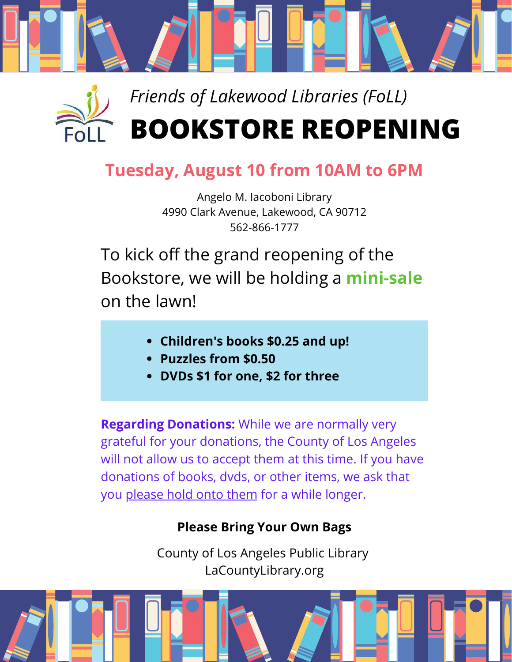



## **Tuesday, August 10 from 10AM to 6PM**

Angelo M. Iacoboni Library 4990 Clark Avenue, Lakewood, CA 90712 562-866-1777

To kick off the grand reopening of the Bookstore, we will be holding a **mini-sale** on the lawn!

- **Children's books \$0.25 and up!**
- **Puzzles from \$0.50**
- **DVDs \$1 for one, \$2 for three**

**Regarding Donations:** While we are normally very grateful for your donations, the County of Los Angeles will not allow us to accept them at this time. If you have donations of books, dvds, or other items, we ask that you please hold onto them for a while longer.

## **Please Bring Your Own Bags**

County of Los Angeles Public Library LaCountyLibrary.org